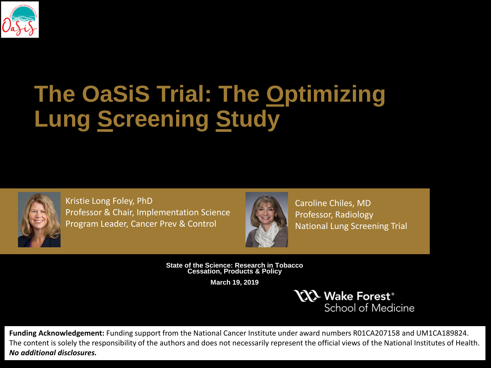

# **The OaSiS Trial: The Optimizing Lung Screening Study**



Kristie Long Foley, PhD Professor & Chair, Implementation Science Program Leader, Cancer Prev & Control



Caroline Chiles, MD Professor, Radiology National Lung Screening Trial

**State of the Science: Research in Tobacco Cessation, Products & Policy**

**March 19, 2019**

**CCL Wake Forest®** School of Medicine

**Funding Acknowledgement:** Funding support from the National Cancer Institute under award numbers R01CA207158 and UM1CA189824. The content is solely the responsibility of the authors and does not necessarily represent the official views of the National Institutes of Health. *No additional disclosures.*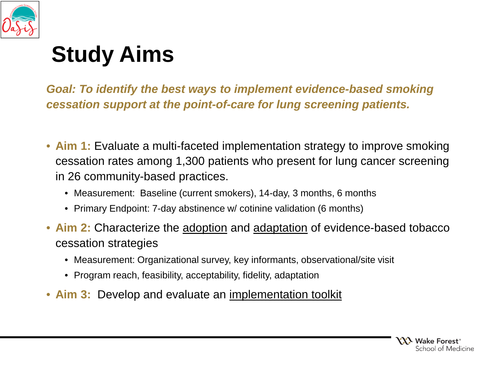

# **Study Aims**

*Goal: To identify the best ways to implement evidence-based smoking cessation support at the point-of-care for lung screening patients.*

- **Aim 1:** Evaluate a multi-faceted implementation strategy to improve smoking cessation rates among 1,300 patients who present for lung cancer screening in 26 community-based practices.
	- Measurement: Baseline (current smokers), 14-day, 3 months, 6 months
	- Primary Endpoint: 7-day abstinence w/ cotinine validation (6 months)
- **Aim 2:** Characterize the adoption and adaptation of evidence-based tobacco cessation strategies
	- Measurement: Organizational survey, key informants, observational/site visit
	- Program reach, feasibility, acceptability, fidelity, adaptation
- **Aim 3:** Develop and evaluate an implementation toolkit

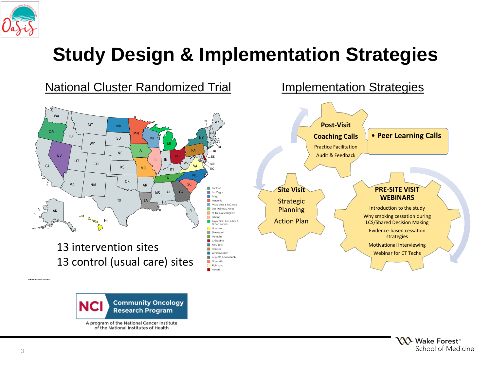

## **Study Design & Implementation Strategies**





A program of the National Cancer Institute of the National Institutes of Health

> **YXX** Wake Forest<sup>®</sup> School of Medicine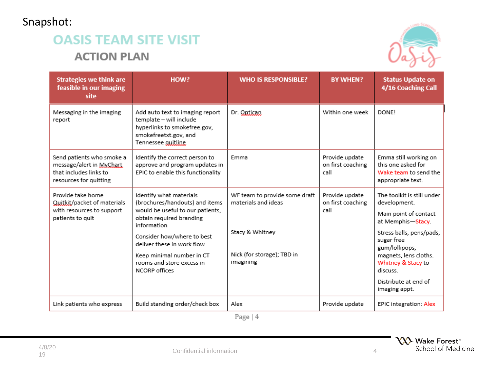#### Snapshot:

#### **OASIS TEAM SITE VISIT ACTION PLAN**



| <b>Strategies we think are</b><br>feasible in our imaging<br>site                                         | HOW?                                                                                                                                                                                                                                                                            | <b>WHO IS RESPONSIBLE?</b>                                                                                         | <b>BY WHEN?</b>                             | <b>Status Update on</b><br>4/16 Coaching Call                                                                                                                                                                                                            |
|-----------------------------------------------------------------------------------------------------------|---------------------------------------------------------------------------------------------------------------------------------------------------------------------------------------------------------------------------------------------------------------------------------|--------------------------------------------------------------------------------------------------------------------|---------------------------------------------|----------------------------------------------------------------------------------------------------------------------------------------------------------------------------------------------------------------------------------------------------------|
| Messaging in the imaging<br>report                                                                        | Add auto text to imaging report<br>template - will include<br>hyperlinks to smokefree.gov,<br>smokefreetxt.gov, and<br>Tennessee guitline.                                                                                                                                      | Dr. Optican                                                                                                        | Within one week                             | <b>DONE!</b>                                                                                                                                                                                                                                             |
| Send patients who smoke a<br>message/alert in MyChart<br>that includes links to<br>resources for quitting | Identify the correct person to<br>approve and program updates in<br>EPIC to enable this functionality                                                                                                                                                                           | Emma                                                                                                               | Provide update<br>on first coaching<br>call | Emma still working on<br>this one asked for<br>Wake team to send the<br>appropriate text.                                                                                                                                                                |
| Provide take home<br>Quitkit/packet of materials<br>with resources to support<br>patients to quit         | Identify what materials<br>(brochures/handouts) and items<br>would be useful to our patients,<br>obtain required branding<br>information<br>Consider how/where to best<br>deliver these in work flow<br>Keep minimal number in CT<br>rooms and store excess in<br>NCORP offices | WF team to provide some draft<br>materials and ideas<br>Stacy & Whitney<br>Nick (for storage); TBD in<br>imagining | Provide update<br>on first coaching<br>call | The toolkit is still under<br>development.<br>Main point of contact<br>at Memphis-Stacy.<br>Stress balls, pens/pads,<br>sugar free<br>gum/lollipops,<br>magnets, lens cloths.<br>Whitney & Stacy to<br>discuss.<br>Distribute at end of<br>imaging appt. |
| Link patients who express                                                                                 | Build standing order/check box                                                                                                                                                                                                                                                  | Alex                                                                                                               | Provide update                              | <b>EPIC integration: Alex</b>                                                                                                                                                                                                                            |

Page | 4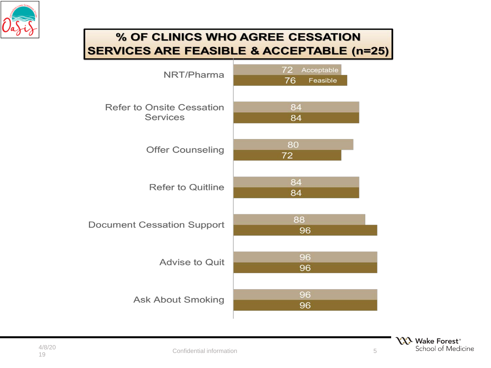

#### % OF CLINICS WHO AGREE CESSATION **SERVICES ARE FEASIBLE & ACCEPTABLE (n=25)**

| NRT/Pharma                                          | 72<br>Acceptable<br>76<br>Feasible |  |  |
|-----------------------------------------------------|------------------------------------|--|--|
| <b>Refer to Onsite Cessation</b><br><b>Services</b> | 84<br>84                           |  |  |
| <b>Offer Counseling</b>                             | 80<br>72                           |  |  |
| <b>Refer to Quitline</b>                            | 84<br>84                           |  |  |
| <b>Document Cessation Support</b>                   | 88<br>96                           |  |  |
| <b>Advise to Quit</b>                               | 96<br>96                           |  |  |
| <b>Ask About Smoking</b>                            | 96<br>96                           |  |  |



5

I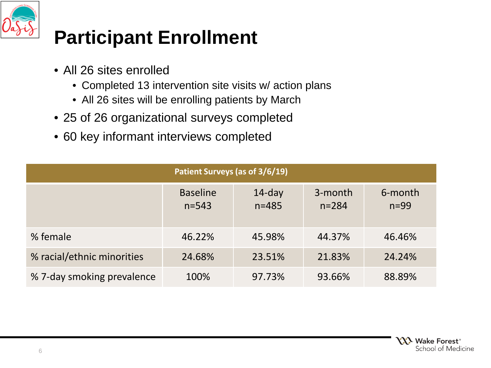

## **Participant Enrollment**

- All 26 sites enrolled
	- Completed 13 intervention site visits w/ action plans
	- All 26 sites will be enrolling patients by March
- 25 of 26 organizational surveys completed
- 60 key informant interviews completed

| Patient Surveys (as of 3/6/19) |                              |                        |                      |                   |  |  |  |
|--------------------------------|------------------------------|------------------------|----------------------|-------------------|--|--|--|
|                                | <b>Baseline</b><br>$n = 543$ | $14$ -day<br>$n = 485$ | 3-month<br>$n = 284$ | 6-month<br>$n=99$ |  |  |  |
| % female                       | 46.22%                       | 45.98%                 | 44.37%               | 46.46%            |  |  |  |
| % racial/ethnic minorities     | 24.68%                       | 23.51%                 | 21.83%               | 24.24%            |  |  |  |
| % 7-day smoking prevalence     | 100%                         | 97.73%                 | 93.66%               | 88.89%            |  |  |  |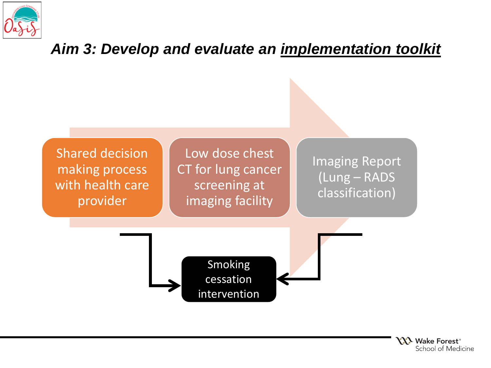

### *Aim 3: Develop and evaluate an implementation toolkit*



**YY's** Wake Forest<sup>®</sup> School of Medicine